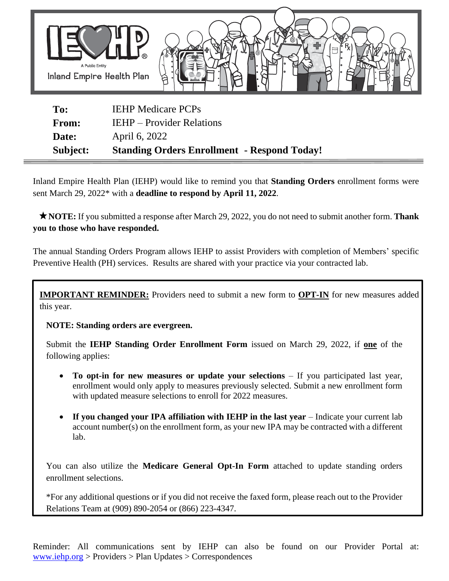

| Subject:     | <b>Standing Orders Enrollment - Respond Today!</b> |
|--------------|----------------------------------------------------|
| Date:        | April 6, 2022                                      |
| <b>From:</b> | <b>IEHP</b> – Provider Relations                   |
| To:          | <b>IEHP Medicare PCPs</b>                          |

Inland Empire Health Plan (IEHP) would like to remind you that **Standing Orders** enrollment forms were sent March 29, 2022\* with a **deadline to respond by April 11, 2022**.

 **NOTE:** If you submitted a response after March 29, 2022, you do not need to submit another form. **Thank you to those who have responded.**

The annual Standing Orders Program allows IEHP to assist Providers with completion of Members' specific Preventive Health (PH) services. Results are shared with your practice via your contracted lab.

**IMPORTANT REMINDER:** Providers need to submit a new form to **OPT-IN** for new measures added this year.

**NOTE: Standing orders are evergreen.**

Submit the **IEHP Standing Order Enrollment Form** issued on March 29, 2022, if **one** of the following applies:

- **To opt-in for new measures or update your selections** If you participated last year, enrollment would only apply to measures previously selected. Submit a new enrollment form with updated measure selections to enroll for 2022 measures.
- **If you changed your IPA affiliation with IEHP in the last year** Indicate your current lab account number(s) on the enrollment form, as your new IPA may be contracted with a different lab.

You can also utilize the **Medicare General Opt-In Form** attached to update standing orders enrollment selections.

\*For any additional questions or if you did not receive the faxed form, please reach out to the Provider Relations Team at (909) 890-2054 or (866) 223-4347.

Reminder: All communications sent by IEHP can also be found on our Provider Portal at: [www.iehp.org](http://www.iehp.org/) > Providers > Plan Updates > Correspondences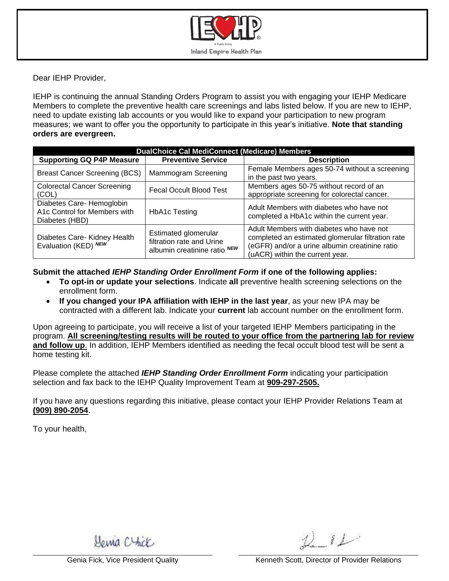

Dear IEHP Provider,

IEHP is continuing the annual Standing Orders Program to assist you with engaging your IEHP Medicare Members to complete the preventive health care screenings and labs listed below. If you are new to IEHP, need to update existing lab accounts or you would like to expand your participation to new program measures; we want to offer you the opportunity to participate in this year's initiative. **Note that standing orders are evergreen.**

| <b>DualChoice Cal MediConnect (Medicare) Members</b>                        |                                                                                   |                                                                                                                                                                                    |  |  |  |  |  |
|-----------------------------------------------------------------------------|-----------------------------------------------------------------------------------|------------------------------------------------------------------------------------------------------------------------------------------------------------------------------------|--|--|--|--|--|
| <b>Supporting GQ P4P Measure</b>                                            | <b>Preventive Service</b>                                                         | <b>Description</b>                                                                                                                                                                 |  |  |  |  |  |
| <b>Breast Cancer Screening (BCS)</b>                                        | Mammogram Screening                                                               | Female Members ages 50-74 without a screening<br>in the past two years.                                                                                                            |  |  |  |  |  |
| <b>Colorectal Cancer Screening</b><br>(COL)                                 | Fecal Occult Blood Test                                                           | Members ages 50-75 without record of an<br>appropriate screening for colorectal cancer.                                                                                            |  |  |  |  |  |
| Diabetes Care- Hemoglobin<br>A1c Control for Members with<br>Diabetes (HBD) | <b>HbA1c Testing</b>                                                              | Adult Members with diabetes who have not<br>completed a HbA1c within the current year.                                                                                             |  |  |  |  |  |
| Diabetes Care- Kidney Health<br>Evaluation (KED) NEW                        | Estimated glomerular<br>filtration rate and Urine<br>albumin creatinine ratio NEW | Adult Members with diabetes who have not<br>completed an estimated glomerular filtration rate<br>(eGFR) and/or a urine albumin creatinine ratio<br>(uACR) within the current year. |  |  |  |  |  |

**Submit the attached** *IEHP Standing Order Enrollment Form* **if one of the following applies:**

- **To opt-in or update your selections**. Indicate **all** preventive health screening selections on the enrollment form.
- **If you changed your IPA affiliation with IEHP in the last year**, as your new IPA may be contracted with a different lab. Indicate your **current** lab account number on the enrollment form.

Upon agreeing to participate, you will receive a list of your targeted IEHP Members participating in the program. **All screening/testing results will be routed to your office from the partnering lab for review and follow up**. In addition, IEHP Members identified as needing the fecal occult blood test will be sent a home testing kit.

Please complete the attached *IEHP Standing Order Enrollment Form* indicating your participation selection and fax back to the IEHP Quality Improvement Team at **909-297-2505.**

If you have any questions regarding this initiative, please contact your IEHP Provider Relations Team at **(909) 890-2054**.

To your health,

Mania Chick

 $8L<sup>2</sup>$ 

Genia Fick, Vice President Quality Network Cenneth Scott, Director of Provider Relations